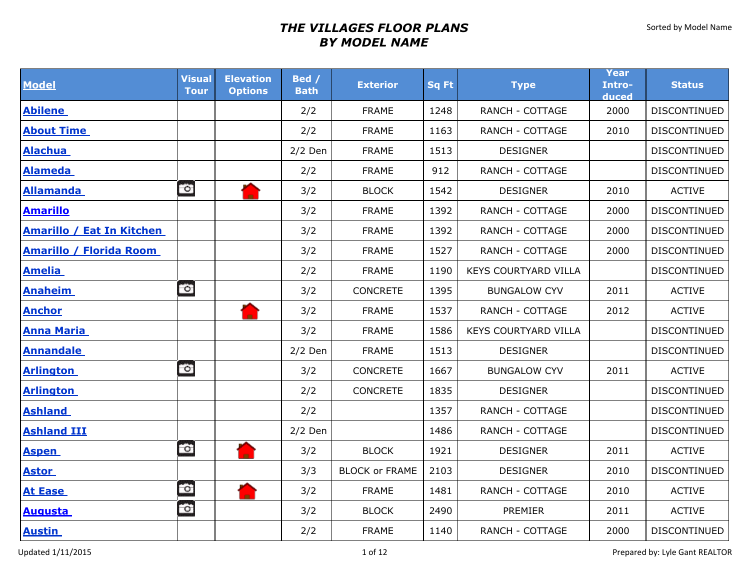| <b>Model</b>                     | <b>Visual</b><br><b>Tour</b> | <b>Elevation</b><br><b>Options</b> | Bed /<br><b>Bath</b> | <b>Exterior</b>       | <b>Sq Ft</b> | <b>Type</b>                 | Year<br>Intro-<br>duced | <b>Status</b>       |
|----------------------------------|------------------------------|------------------------------------|----------------------|-----------------------|--------------|-----------------------------|-------------------------|---------------------|
| <b>Abilene</b>                   |                              |                                    | 2/2                  | <b>FRAME</b>          | 1248         | <b>RANCH - COTTAGE</b>      | 2000                    | DISCONTINUED        |
| <b>About Time</b>                |                              |                                    | 2/2                  | <b>FRAME</b>          | 1163         | <b>RANCH - COTTAGE</b>      | 2010                    | <b>DISCONTINUED</b> |
| <b>Alachua</b>                   |                              |                                    | $2/2$ Den            | <b>FRAME</b>          | 1513         | <b>DESIGNER</b>             |                         | DISCONTINUED        |
| <b>Alameda</b>                   |                              |                                    | 2/2                  | <b>FRAME</b>          | 912          | RANCH - COTTAGE             |                         | DISCONTINUED        |
| <b>Allamanda</b>                 | $\circ$                      |                                    | 3/2                  | <b>BLOCK</b>          | 1542         | <b>DESIGNER</b>             | 2010                    | <b>ACTIVE</b>       |
| <b>Amarillo</b>                  |                              |                                    | 3/2                  | <b>FRAME</b>          | 1392         | <b>RANCH - COTTAGE</b>      | 2000                    | DISCONTINUED        |
| <b>Amarillo / Eat In Kitchen</b> |                              |                                    | 3/2                  | <b>FRAME</b>          | 1392         | RANCH - COTTAGE             | 2000                    | DISCONTINUED        |
| <b>Amarillo / Florida Room</b>   |                              |                                    | 3/2                  | <b>FRAME</b>          | 1527         | <b>RANCH - COTTAGE</b>      | 2000                    | DISCONTINUED        |
| <b>Amelia</b>                    |                              |                                    | 2/2                  | <b>FRAME</b>          | 1190         | <b>KEYS COURTYARD VILLA</b> |                         | DISCONTINUED        |
| <b>Anaheim</b>                   | $\circ$                      |                                    | 3/2                  | <b>CONCRETE</b>       | 1395         | <b>BUNGALOW CYV</b>         | 2011                    | <b>ACTIVE</b>       |
| <b>Anchor</b>                    |                              |                                    | 3/2                  | <b>FRAME</b>          | 1537         | RANCH - COTTAGE             | 2012                    | <b>ACTIVE</b>       |
| <b>Anna Maria</b>                |                              |                                    | 3/2                  | <b>FRAME</b>          | 1586         | <b>KEYS COURTYARD VILLA</b> |                         | DISCONTINUED        |
| <b>Annandale</b>                 |                              |                                    | $2/2$ Den            | <b>FRAME</b>          | 1513         | <b>DESIGNER</b>             |                         | DISCONTINUED        |
| <b>Arlington</b>                 | $\circ$                      |                                    | 3/2                  | CONCRETE              | 1667         | <b>BUNGALOW CYV</b>         | 2011                    | <b>ACTIVE</b>       |
| <b>Arlington</b>                 |                              |                                    | 2/2                  | <b>CONCRETE</b>       | 1835         | <b>DESIGNER</b>             |                         | DISCONTINUED        |
| <b>Ashland</b>                   |                              |                                    | 2/2                  |                       | 1357         | <b>RANCH - COTTAGE</b>      |                         | DISCONTINUED        |
| <b>Ashland III</b>               |                              |                                    | $2/2$ Den            |                       | 1486         | <b>RANCH - COTTAGE</b>      |                         | <b>DISCONTINUED</b> |
| <b>Aspen</b>                     | $\bullet$                    |                                    | 3/2                  | <b>BLOCK</b>          | 1921         | <b>DESIGNER</b>             | 2011                    | <b>ACTIVE</b>       |
| <b>Astor</b>                     |                              |                                    | 3/3                  | <b>BLOCK or FRAME</b> | 2103         | <b>DESIGNER</b>             | 2010                    | DISCONTINUED        |
| <b>At Ease</b>                   | $\bullet$                    |                                    | 3/2                  | <b>FRAME</b>          | 1481         | <b>RANCH - COTTAGE</b>      | 2010                    | <b>ACTIVE</b>       |
| <b>Augusta</b>                   | fő.                          |                                    | 3/2                  | <b>BLOCK</b>          | 2490         | PREMIER                     | 2011                    | <b>ACTIVE</b>       |
| <b>Austin</b>                    |                              |                                    | 2/2                  | <b>FRAME</b>          | 1140         | RANCH - COTTAGE             | 2000                    | DISCONTINUED        |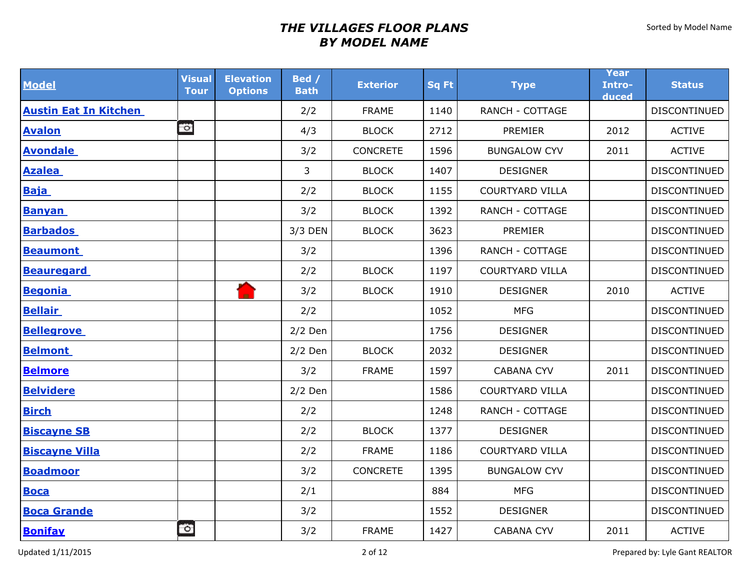| <b>Model</b>                 | <b>Visual</b><br><b>Tour</b> | <b>Elevation</b><br><b>Options</b> | Bed /<br><b>Bath</b> | <b>Exterior</b> | <b>Sq Ft</b> | <b>Type</b>            | Year<br>Intro-<br>duced | <b>Status</b>       |
|------------------------------|------------------------------|------------------------------------|----------------------|-----------------|--------------|------------------------|-------------------------|---------------------|
| <b>Austin Eat In Kitchen</b> |                              |                                    | 2/2                  | <b>FRAME</b>    | 1140         | <b>RANCH - COTTAGE</b> |                         | DISCONTINUED        |
| <b>Avalon</b>                | $\circ$                      |                                    | 4/3                  | <b>BLOCK</b>    | 2712         | PREMIER                | 2012                    | <b>ACTIVE</b>       |
| <b>Avondale</b>              |                              |                                    | 3/2                  | <b>CONCRETE</b> | 1596         | <b>BUNGALOW CYV</b>    | 2011                    | <b>ACTIVE</b>       |
| <b>Azalea</b>                |                              |                                    | 3                    | <b>BLOCK</b>    | 1407         | <b>DESIGNER</b>        |                         | DISCONTINUED        |
| <b>Baja</b>                  |                              |                                    | 2/2                  | <b>BLOCK</b>    | 1155         | <b>COURTYARD VILLA</b> |                         | DISCONTINUED        |
| <b>Banyan</b>                |                              |                                    | 3/2                  | <b>BLOCK</b>    | 1392         | <b>RANCH - COTTAGE</b> |                         | <b>DISCONTINUED</b> |
| <b>Barbados</b>              |                              |                                    | 3/3 DEN              | <b>BLOCK</b>    | 3623         | PREMIER                |                         | DISCONTINUED        |
| <b>Beaumont</b>              |                              |                                    | 3/2                  |                 | 1396         | <b>RANCH - COTTAGE</b> |                         | DISCONTINUED        |
| <b>Beauregard</b>            |                              |                                    | 2/2                  | <b>BLOCK</b>    | 1197         | <b>COURTYARD VILLA</b> |                         | DISCONTINUED        |
| <b>Begonia</b>               |                              |                                    | 3/2                  | <b>BLOCK</b>    | 1910         | <b>DESIGNER</b>        | 2010                    | <b>ACTIVE</b>       |
| <b>Bellair</b>               |                              |                                    | 2/2                  |                 | 1052         | <b>MFG</b>             |                         | DISCONTINUED        |
| <b>Bellegrove</b>            |                              |                                    | $2/2$ Den            |                 | 1756         | <b>DESIGNER</b>        |                         | DISCONTINUED        |
| <b>Belmont</b>               |                              |                                    | $2/2$ Den            | <b>BLOCK</b>    | 2032         | <b>DESIGNER</b>        |                         | DISCONTINUED        |
| <b>Belmore</b>               |                              |                                    | 3/2                  | <b>FRAME</b>    | 1597         | <b>CABANA CYV</b>      | 2011                    | <b>DISCONTINUED</b> |
| <b>Belvidere</b>             |                              |                                    | $2/2$ Den            |                 | 1586         | <b>COURTYARD VILLA</b> |                         | DISCONTINUED        |
| <b>Birch</b>                 |                              |                                    | 2/2                  |                 | 1248         | <b>RANCH - COTTAGE</b> |                         | DISCONTINUED        |
| <b>Biscayne SB</b>           |                              |                                    | 2/2                  | <b>BLOCK</b>    | 1377         | <b>DESIGNER</b>        |                         | DISCONTINUED        |
| <b>Biscayne Villa</b>        |                              |                                    | 2/2                  | <b>FRAME</b>    | 1186         | <b>COURTYARD VILLA</b> |                         | DISCONTINUED        |
| <b>Boadmoor</b>              |                              |                                    | 3/2                  | <b>CONCRETE</b> | 1395         | <b>BUNGALOW CYV</b>    |                         | DISCONTINUED        |
| <b>Boca</b>                  |                              |                                    | 2/1                  |                 | 884          | <b>MFG</b>             |                         | DISCONTINUED        |
| <b>Boca Grande</b>           |                              |                                    | 3/2                  |                 | 1552         | <b>DESIGNER</b>        |                         | DISCONTINUED        |
| <b>Bonifay</b>               | $\circ$                      |                                    | 3/2                  | <b>FRAME</b>    | 1427         | <b>CABANA CYV</b>      | 2011                    | <b>ACTIVE</b>       |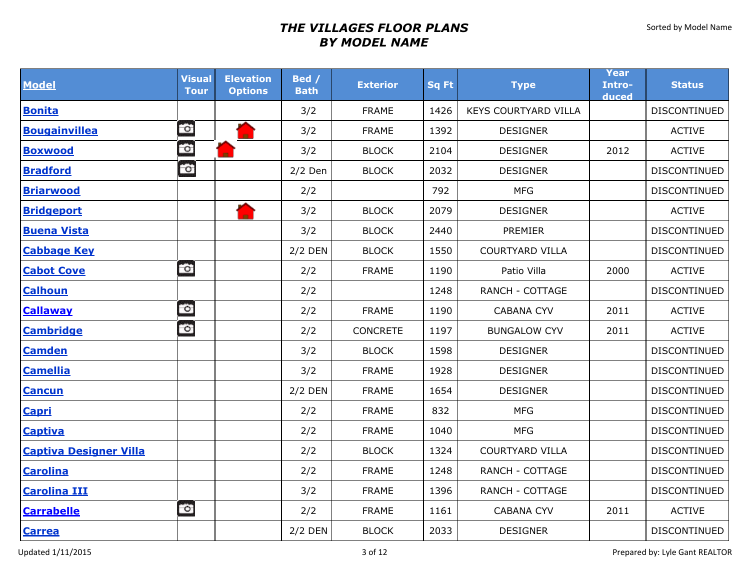| <b>Model</b>                  | <b>Visual</b><br><b>Tour</b> | <b>Elevation</b><br><b>Options</b> | Bed /<br><b>Bath</b> | <b>Exterior</b> | <b>Sq Ft</b> | <b>Type</b>                 | Year<br>Intro-<br>duced | <b>Status</b>       |
|-------------------------------|------------------------------|------------------------------------|----------------------|-----------------|--------------|-----------------------------|-------------------------|---------------------|
| <b>Bonita</b>                 |                              |                                    | 3/2                  | <b>FRAME</b>    | 1426         | <b>KEYS COURTYARD VILLA</b> |                         | DISCONTINUED        |
| <b>Bougainvillea</b>          | $\circ$                      |                                    | 3/2                  | <b>FRAME</b>    | 1392         | <b>DESIGNER</b>             |                         | <b>ACTIVE</b>       |
| <b>Boxwood</b>                | Ö                            |                                    | 3/2                  | <b>BLOCK</b>    | 2104         | <b>DESIGNER</b>             | 2012                    | <b>ACTIVE</b>       |
| <b>Bradford</b>               | $\tilde{\mathbf{c}}$         |                                    | $2/2$ Den            | <b>BLOCK</b>    | 2032         | <b>DESIGNER</b>             |                         | DISCONTINUED        |
| <b>Briarwood</b>              |                              |                                    | 2/2                  |                 | 792          | <b>MFG</b>                  |                         | <b>DISCONTINUED</b> |
| <b>Bridgeport</b>             |                              |                                    | 3/2                  | <b>BLOCK</b>    | 2079         | <b>DESIGNER</b>             |                         | <b>ACTIVE</b>       |
| <b>Buena Vista</b>            |                              |                                    | 3/2                  | <b>BLOCK</b>    | 2440         | PREMIER                     |                         | DISCONTINUED        |
| <b>Cabbage Key</b>            |                              |                                    | <b>2/2 DEN</b>       | <b>BLOCK</b>    | 1550         | <b>COURTYARD VILLA</b>      |                         | DISCONTINUED        |
| <b>Cabot Cove</b>             | $\bullet$                    |                                    | 2/2                  | <b>FRAME</b>    | 1190         | Patio Villa                 | 2000                    | <b>ACTIVE</b>       |
| <b>Calhoun</b>                |                              |                                    | 2/2                  |                 | 1248         | <b>RANCH - COTTAGE</b>      |                         | DISCONTINUED        |
| <b>Callaway</b>               | $\circ$                      |                                    | 2/2                  | <b>FRAME</b>    | 1190         | <b>CABANA CYV</b>           | 2011                    | <b>ACTIVE</b>       |
| <b>Cambridge</b>              | $\circ$                      |                                    | 2/2                  | <b>CONCRETE</b> | 1197         | <b>BUNGALOW CYV</b>         | 2011                    | <b>ACTIVE</b>       |
| <b>Camden</b>                 |                              |                                    | 3/2                  | <b>BLOCK</b>    | 1598         | <b>DESIGNER</b>             |                         | DISCONTINUED        |
| <b>Camellia</b>               |                              |                                    | 3/2                  | <b>FRAME</b>    | 1928         | <b>DESIGNER</b>             |                         | <b>DISCONTINUED</b> |
| <b>Cancun</b>                 |                              |                                    | <b>2/2 DEN</b>       | <b>FRAME</b>    | 1654         | <b>DESIGNER</b>             |                         | <b>DISCONTINUED</b> |
| <b>Capri</b>                  |                              |                                    | 2/2                  | <b>FRAME</b>    | 832          | <b>MFG</b>                  |                         | DISCONTINUED        |
| <b>Captiva</b>                |                              |                                    | 2/2                  | <b>FRAME</b>    | 1040         | <b>MFG</b>                  |                         | <b>DISCONTINUED</b> |
| <b>Captiva Designer Villa</b> |                              |                                    | 2/2                  | <b>BLOCK</b>    | 1324         | <b>COURTYARD VILLA</b>      |                         | DISCONTINUED        |
| <b>Carolina</b>               |                              |                                    | 2/2                  | <b>FRAME</b>    | 1248         | <b>RANCH - COTTAGE</b>      |                         | DISCONTINUED        |
| <b>Carolina III</b>           |                              |                                    | 3/2                  | <b>FRAME</b>    | 1396         | <b>RANCH - COTTAGE</b>      |                         | DISCONTINUED        |
| <b>Carrabelle</b>             | $\circ$                      |                                    | 2/2                  | <b>FRAME</b>    | 1161         | <b>CABANA CYV</b>           | 2011                    | <b>ACTIVE</b>       |
| <b>Carrea</b>                 |                              |                                    | 2/2 DEN              | <b>BLOCK</b>    | 2033         | <b>DESIGNER</b>             |                         | <b>DISCONTINUED</b> |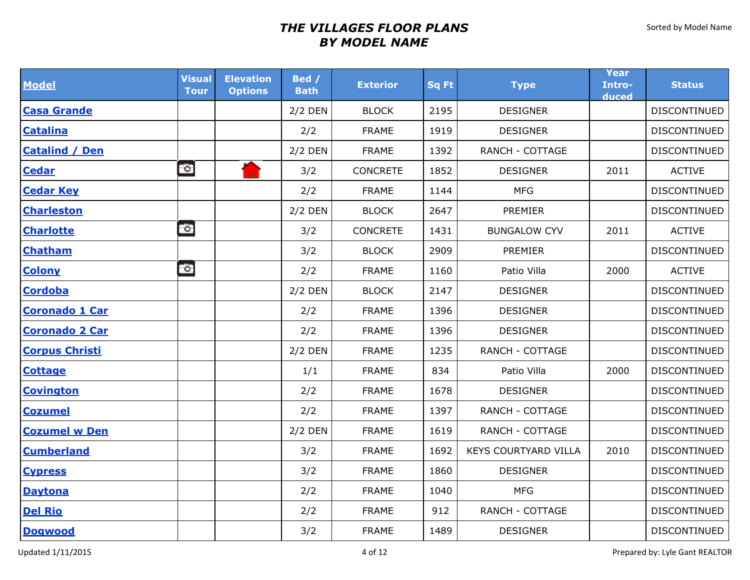| <b>Model</b>          | <b>Visual</b><br><b>Tour</b> | <b>Elevation</b><br><b>Options</b> | Bed /<br><b>Bath</b> | <b>Exterior</b> | <b>Sq Ft</b> | <b>Type</b>            | Year<br>Intro-<br>duced | <b>Status</b>       |
|-----------------------|------------------------------|------------------------------------|----------------------|-----------------|--------------|------------------------|-------------------------|---------------------|
| <b>Casa Grande</b>    |                              |                                    | 2/2 DEN              | <b>BLOCK</b>    | 2195         | <b>DESIGNER</b>        |                         | DISCONTINUED        |
| <b>Catalina</b>       |                              |                                    | 2/2                  | <b>FRAME</b>    | 1919         | <b>DESIGNER</b>        |                         | <b>DISCONTINUED</b> |
| <b>Catalind / Den</b> |                              |                                    | $2/2$ DEN            | <b>FRAME</b>    | 1392         | <b>RANCH - COTTAGE</b> |                         | DISCONTINUED        |
| <b>Cedar</b>          | $\bullet$                    | A                                  | 3/2                  | <b>CONCRETE</b> | 1852         | <b>DESIGNER</b>        | 2011                    | <b>ACTIVE</b>       |
| <b>Cedar Key</b>      |                              |                                    | 2/2                  | <b>FRAME</b>    | 1144         | <b>MFG</b>             |                         | DISCONTINUED        |
| <b>Charleston</b>     |                              |                                    | $2/2$ DEN            | <b>BLOCK</b>    | 2647         | PREMIER                |                         | DISCONTINUED        |
| <b>Charlotte</b>      | $\circ$                      |                                    | 3/2                  | CONCRETE        | 1431         | <b>BUNGALOW CYV</b>    | 2011                    | <b>ACTIVE</b>       |
| <b>Chatham</b>        |                              |                                    | 3/2                  | <b>BLOCK</b>    | 2909         | <b>PREMIER</b>         |                         | DISCONTINUED        |
| <b>Colony</b>         | $\circ$                      |                                    | 2/2                  | <b>FRAME</b>    | 1160         | Patio Villa            | 2000                    | <b>ACTIVE</b>       |
| <b>Cordoba</b>        |                              |                                    | $2/2$ DEN            | <b>BLOCK</b>    | 2147         | <b>DESIGNER</b>        |                         | DISCONTINUED        |
| <b>Coronado 1 Car</b> |                              |                                    | 2/2                  | <b>FRAME</b>    | 1396         | <b>DESIGNER</b>        |                         | DISCONTINUED        |
| <b>Coronado 2 Car</b> |                              |                                    | 2/2                  | <b>FRAME</b>    | 1396         | <b>DESIGNER</b>        |                         | DISCONTINUED        |
| <b>Corpus Christi</b> |                              |                                    | 2/2 DEN              | <b>FRAME</b>    | 1235         | <b>RANCH - COTTAGE</b> |                         | DISCONTINUED        |
| <b>Cottage</b>        |                              |                                    | 1/1                  | <b>FRAME</b>    | 834          | Patio Villa            | 2000                    | <b>DISCONTINUED</b> |
| <b>Covington</b>      |                              |                                    | 2/2                  | <b>FRAME</b>    | 1678         | <b>DESIGNER</b>        |                         | DISCONTINUED        |
| <b>Cozumel</b>        |                              |                                    | 2/2                  | <b>FRAME</b>    | 1397         | <b>RANCH - COTTAGE</b> |                         | DISCONTINUED        |
| <b>Cozumel w Den</b>  |                              |                                    | $2/2$ DEN            | <b>FRAME</b>    | 1619         | <b>RANCH - COTTAGE</b> |                         | DISCONTINUED        |
| <b>Cumberland</b>     |                              |                                    | 3/2                  | <b>FRAME</b>    | 1692         | KEYS COURTYARD VILLA   | 2010                    | DISCONTINUED        |
| <b>Cypress</b>        |                              |                                    | 3/2                  | <b>FRAME</b>    | 1860         | <b>DESIGNER</b>        |                         | <b>DISCONTINUED</b> |
| <b>Daytona</b>        |                              |                                    | 2/2                  | <b>FRAME</b>    | 1040         | <b>MFG</b>             |                         | DISCONTINUED        |
| <b>Del Rio</b>        |                              |                                    | 2/2                  | <b>FRAME</b>    | 912          | <b>RANCH - COTTAGE</b> |                         | DISCONTINUED        |
| <b>Dogwood</b>        |                              |                                    | 3/2                  | <b>FRAME</b>    | 1489         | <b>DESIGNER</b>        |                         | DISCONTINUED        |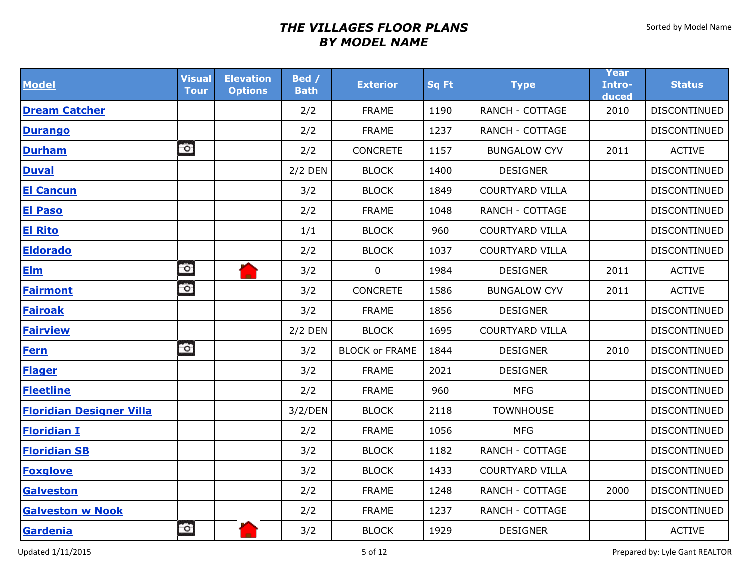| <b>Model</b>                    | <b>Visual</b><br><b>Tour</b> | <b>Elevation</b><br><b>Options</b> | Bed /<br><b>Bath</b> | <b>Exterior</b>       | Sq Ft | <b>Type</b>            | Year<br>Intro-<br>duced | <b>Status</b>       |
|---------------------------------|------------------------------|------------------------------------|----------------------|-----------------------|-------|------------------------|-------------------------|---------------------|
| <b>Dream Catcher</b>            |                              |                                    | 2/2                  | <b>FRAME</b>          | 1190  | <b>RANCH - COTTAGE</b> | 2010                    | <b>DISCONTINUED</b> |
| <b>Durango</b>                  |                              |                                    | 2/2                  | <b>FRAME</b>          | 1237  | RANCH - COTTAGE        |                         | DISCONTINUED        |
| <b>Durham</b>                   | $\circ$                      |                                    | 2/2                  | <b>CONCRETE</b>       | 1157  | <b>BUNGALOW CYV</b>    | 2011                    | <b>ACTIVE</b>       |
| <b>Duval</b>                    |                              |                                    | $2/2$ DEN            | <b>BLOCK</b>          | 1400  | <b>DESIGNER</b>        |                         | DISCONTINUED        |
| <b>El Cancun</b>                |                              |                                    | 3/2                  | <b>BLOCK</b>          | 1849  | <b>COURTYARD VILLA</b> |                         | DISCONTINUED        |
| <b>El Paso</b>                  |                              |                                    | 2/2                  | <b>FRAME</b>          | 1048  | RANCH - COTTAGE        |                         | <b>DISCONTINUED</b> |
| <b>El Rito</b>                  |                              |                                    | 1/1                  | <b>BLOCK</b>          | 960   | <b>COURTYARD VILLA</b> |                         | <b>DISCONTINUED</b> |
| <b>Eldorado</b>                 |                              |                                    | 2/2                  | <b>BLOCK</b>          | 1037  | <b>COURTYARD VILLA</b> |                         | DISCONTINUED        |
| <b>Elm</b>                      | $\circ$                      | Æ                                  | 3/2                  | $\mathbf 0$           | 1984  | <b>DESIGNER</b>        | 2011                    | <b>ACTIVE</b>       |
| <b>Fairmont</b>                 | $\circ$                      |                                    | 3/2                  | <b>CONCRETE</b>       | 1586  | <b>BUNGALOW CYV</b>    | 2011                    | <b>ACTIVE</b>       |
| <b>Fairoak</b>                  |                              |                                    | 3/2                  | <b>FRAME</b>          | 1856  | <b>DESIGNER</b>        |                         | DISCONTINUED        |
| <b>Fairview</b>                 |                              |                                    | $2/2$ DEN            | <b>BLOCK</b>          | 1695  | <b>COURTYARD VILLA</b> |                         | <b>DISCONTINUED</b> |
| <b>Fern</b>                     | $\bullet$                    |                                    | 3/2                  | <b>BLOCK or FRAME</b> | 1844  | <b>DESIGNER</b>        | 2010                    | DISCONTINUED        |
| <b>Flager</b>                   |                              |                                    | 3/2                  | <b>FRAME</b>          | 2021  | <b>DESIGNER</b>        |                         | DISCONTINUED        |
| <b>Fleetline</b>                |                              |                                    | 2/2                  | <b>FRAME</b>          | 960   | <b>MFG</b>             |                         | DISCONTINUED        |
| <b>Floridian Designer Villa</b> |                              |                                    | 3/2/DEN              | <b>BLOCK</b>          | 2118  | <b>TOWNHOUSE</b>       |                         | DISCONTINUED        |
| <b>Floridian I</b>              |                              |                                    | 2/2                  | <b>FRAME</b>          | 1056  | <b>MFG</b>             |                         | <b>DISCONTINUED</b> |
| <b>Floridian SB</b>             |                              |                                    | 3/2                  | <b>BLOCK</b>          | 1182  | <b>RANCH - COTTAGE</b> |                         | DISCONTINUED        |
| <b>Foxglove</b>                 |                              |                                    | 3/2                  | <b>BLOCK</b>          | 1433  | <b>COURTYARD VILLA</b> |                         | <b>DISCONTINUED</b> |
| <b>Galveston</b>                |                              |                                    | 2/2                  | <b>FRAME</b>          | 1248  | RANCH - COTTAGE        | 2000                    | DISCONTINUED        |
| <b>Galveston w Nook</b>         |                              |                                    | 2/2                  | <b>FRAME</b>          | 1237  | <b>RANCH - COTTAGE</b> |                         | DISCONTINUED        |
| Gardenia                        | $\bullet$                    |                                    | 3/2                  | <b>BLOCK</b>          | 1929  | <b>DESIGNER</b>        |                         | <b>ACTIVE</b>       |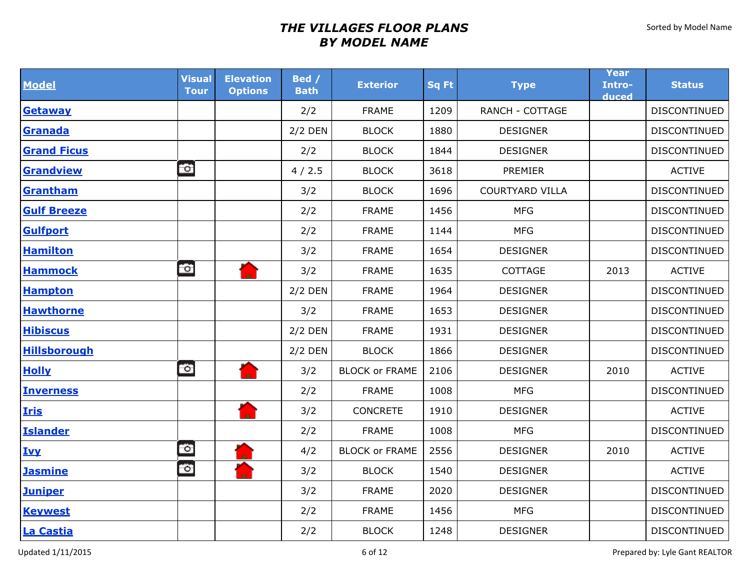| <b>Model</b>        | <b>Visual</b><br><b>Tour</b> | <b>Elevation</b><br><b>Options</b> | Bed /<br><b>Bath</b> | <b>Exterior</b>       | <b>Sq Ft</b> | <b>Type</b>            | Year<br>Intro-<br>duced | <b>Status</b>       |
|---------------------|------------------------------|------------------------------------|----------------------|-----------------------|--------------|------------------------|-------------------------|---------------------|
| <b>Getaway</b>      |                              |                                    | 2/2                  | <b>FRAME</b>          | 1209         | <b>RANCH - COTTAGE</b> |                         | DISCONTINUED        |
| Granada             |                              |                                    | 2/2 DEN              | <b>BLOCK</b>          | 1880         | <b>DESIGNER</b>        |                         | DISCONTINUED        |
| <b>Grand Ficus</b>  |                              |                                    | 2/2                  | <b>BLOCK</b>          | 1844         | <b>DESIGNER</b>        |                         | DISCONTINUED        |
| <b>Grandview</b>    | $\bullet$                    |                                    | 4/2.5                | <b>BLOCK</b>          | 3618         | PREMIER                |                         | <b>ACTIVE</b>       |
| Grantham            |                              |                                    | 3/2                  | <b>BLOCK</b>          | 1696         | <b>COURTYARD VILLA</b> |                         | DISCONTINUED        |
| <b>Gulf Breeze</b>  |                              |                                    | 2/2                  | <b>FRAME</b>          | 1456         | <b>MFG</b>             |                         | DISCONTINUED        |
| <b>Gulfport</b>     |                              |                                    | 2/2                  | <b>FRAME</b>          | 1144         | <b>MFG</b>             |                         | DISCONTINUED        |
| <b>Hamilton</b>     |                              |                                    | 3/2                  | <b>FRAME</b>          | 1654         | <b>DESIGNER</b>        |                         | <b>DISCONTINUED</b> |
| <b>Hammock</b>      | Ó                            |                                    | 3/2                  | <b>FRAME</b>          | 1635         | COTTAGE                | 2013                    | <b>ACTIVE</b>       |
| <b>Hampton</b>      |                              |                                    | $2/2$ DEN            | <b>FRAME</b>          | 1964         | <b>DESIGNER</b>        |                         | DISCONTINUED        |
| <b>Hawthorne</b>    |                              |                                    | 3/2                  | <b>FRAME</b>          | 1653         | <b>DESIGNER</b>        |                         | DISCONTINUED        |
| <b>Hibiscus</b>     |                              |                                    | $2/2$ DEN            | <b>FRAME</b>          | 1931         | <b>DESIGNER</b>        |                         | DISCONTINUED        |
| <b>Hillsborough</b> |                              |                                    | $2/2$ DEN            | <b>BLOCK</b>          | 1866         | <b>DESIGNER</b>        |                         | DISCONTINUED        |
| <b>Holly</b>        | $\circ$                      |                                    | 3/2                  | <b>BLOCK or FRAME</b> | 2106         | <b>DESIGNER</b>        | 2010                    | <b>ACTIVE</b>       |
| <b>Inverness</b>    |                              |                                    | 2/2                  | <b>FRAME</b>          | 1008         | <b>MFG</b>             |                         | DISCONTINUED        |
| <b>Iris</b>         |                              |                                    | 3/2                  | <b>CONCRETE</b>       | 1910         | <b>DESIGNER</b>        |                         | <b>ACTIVE</b>       |
| <b>Islander</b>     |                              |                                    | 2/2                  | <b>FRAME</b>          | 1008         | <b>MFG</b>             |                         | DISCONTINUED        |
| <b>Ivy</b>          | $\circ$                      |                                    | 4/2                  | <b>BLOCK or FRAME</b> | 2556         | <b>DESIGNER</b>        | 2010                    | <b>ACTIVE</b>       |
| <b>Jasmine</b>      | Ö                            |                                    | 3/2                  | <b>BLOCK</b>          | 1540         | <b>DESIGNER</b>        |                         | <b>ACTIVE</b>       |
| <b>Juniper</b>      |                              |                                    | 3/2                  | <b>FRAME</b>          | 2020         | <b>DESIGNER</b>        |                         | DISCONTINUED        |
| <b>Keywest</b>      |                              |                                    | 2/2                  | <b>FRAME</b>          | 1456         | <b>MFG</b>             |                         | DISCONTINUED        |
| La Castia           |                              |                                    | 2/2                  | <b>BLOCK</b>          | 1248         | <b>DESIGNER</b>        |                         | DISCONTINUED        |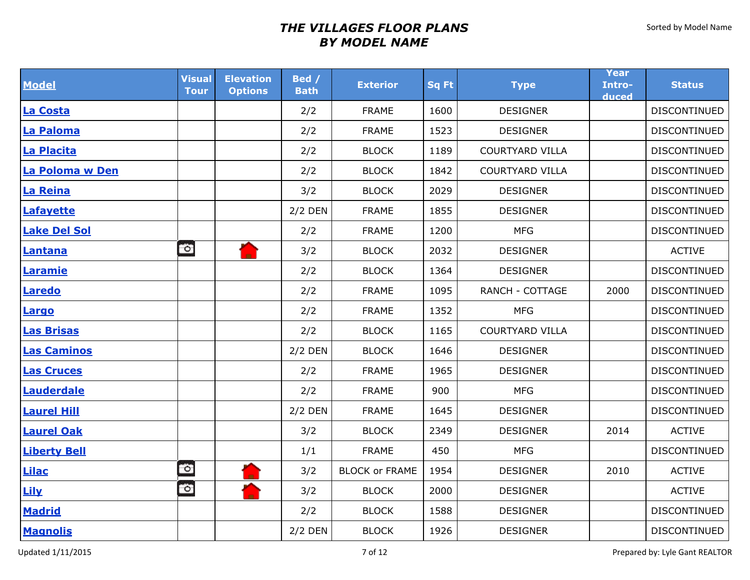| <b>Model</b>        | <b>Visual</b><br><b>Tour</b> | <b>Elevation</b><br><b>Options</b> | Bed /<br><b>Bath</b> | <b>Exterior</b>       | <b>Sq Ft</b> | <b>Type</b>            | Year<br>Intro-<br>duced | <b>Status</b>       |
|---------------------|------------------------------|------------------------------------|----------------------|-----------------------|--------------|------------------------|-------------------------|---------------------|
| La Costa            |                              |                                    | 2/2                  | <b>FRAME</b>          | 1600         | <b>DESIGNER</b>        |                         | DISCONTINUED        |
| La Paloma           |                              |                                    | 2/2                  | <b>FRAME</b>          | 1523         | <b>DESIGNER</b>        |                         | DISCONTINUED        |
| La Placita          |                              |                                    | 2/2                  | <b>BLOCK</b>          | 1189         | <b>COURTYARD VILLA</b> |                         | <b>DISCONTINUED</b> |
| La Poloma w Den     |                              |                                    | 2/2                  | <b>BLOCK</b>          | 1842         | <b>COURTYARD VILLA</b> |                         | DISCONTINUED        |
| La Reina            |                              |                                    | 3/2                  | <b>BLOCK</b>          | 2029         | <b>DESIGNER</b>        |                         | DISCONTINUED        |
| <b>Lafayette</b>    |                              |                                    | $2/2$ DEN            | <b>FRAME</b>          | 1855         | <b>DESIGNER</b>        |                         | DISCONTINUED        |
| <b>Lake Del Sol</b> |                              |                                    | 2/2                  | <b>FRAME</b>          | 1200         | <b>MFG</b>             |                         | DISCONTINUED        |
| Lantana             | $\circ$                      |                                    | 3/2                  | <b>BLOCK</b>          | 2032         | <b>DESIGNER</b>        |                         | <b>ACTIVE</b>       |
| Laramie             |                              |                                    | 2/2                  | <b>BLOCK</b>          | 1364         | <b>DESIGNER</b>        |                         | DISCONTINUED        |
| <b>Laredo</b>       |                              |                                    | 2/2                  | <b>FRAME</b>          | 1095         | RANCH - COTTAGE        | 2000                    | DISCONTINUED        |
| Largo               |                              |                                    | 2/2                  | <b>FRAME</b>          | 1352         | <b>MFG</b>             |                         | DISCONTINUED        |
| <b>Las Brisas</b>   |                              |                                    | 2/2                  | <b>BLOCK</b>          | 1165         | <b>COURTYARD VILLA</b> |                         | DISCONTINUED        |
| <b>Las Caminos</b>  |                              |                                    | 2/2 DEN              | <b>BLOCK</b>          | 1646         | <b>DESIGNER</b>        |                         | DISCONTINUED        |
| <b>Las Cruces</b>   |                              |                                    | 2/2                  | <b>FRAME</b>          | 1965         | <b>DESIGNER</b>        |                         | <b>DISCONTINUED</b> |
| Lauderdale          |                              |                                    | 2/2                  | <b>FRAME</b>          | 900          | <b>MFG</b>             |                         | DISCONTINUED        |
| <b>Laurel Hill</b>  |                              |                                    | $2/2$ DEN            | <b>FRAME</b>          | 1645         | <b>DESIGNER</b>        |                         | DISCONTINUED        |
| <b>Laurel Oak</b>   |                              |                                    | 3/2                  | <b>BLOCK</b>          | 2349         | <b>DESIGNER</b>        | 2014                    | <b>ACTIVE</b>       |
| <b>Liberty Bell</b> |                              |                                    | 1/1                  | <b>FRAME</b>          | 450          | <b>MFG</b>             |                         | DISCONTINUED        |
| <b>Lilac</b>        | $\circ$                      | н                                  | 3/2                  | <b>BLOCK or FRAME</b> | 1954         | <b>DESIGNER</b>        | 2010                    | <b>ACTIVE</b>       |
| Lily                | $\bullet$                    |                                    | 3/2                  | <b>BLOCK</b>          | 2000         | <b>DESIGNER</b>        |                         | <b>ACTIVE</b>       |
| <b>Madrid</b>       |                              |                                    | 2/2                  | <b>BLOCK</b>          | 1588         | <b>DESIGNER</b>        |                         | DISCONTINUED        |
| <b>Magnolis</b>     |                              |                                    | $2/2$ DEN            | <b>BLOCK</b>          | 1926         | <b>DESIGNER</b>        |                         | DISCONTINUED        |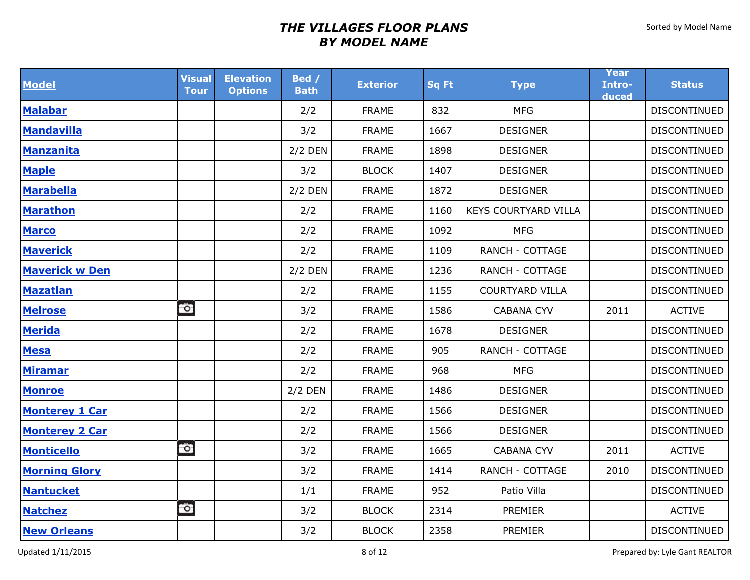| <b>Model</b>          | <b>Visual</b><br><b>Tour</b> | <b>Elevation</b><br><b>Options</b> | Bed /<br><b>Bath</b> | <b>Exterior</b> | <b>Sq Ft</b> | <b>Type</b>            | Year<br>Intro-<br>duced | <b>Status</b>       |
|-----------------------|------------------------------|------------------------------------|----------------------|-----------------|--------------|------------------------|-------------------------|---------------------|
| <b>Malabar</b>        |                              |                                    | 2/2                  | <b>FRAME</b>    | 832          | <b>MFG</b>             |                         | DISCONTINUED        |
| <b>Mandavilla</b>     |                              |                                    | 3/2                  | <b>FRAME</b>    | 1667         | <b>DESIGNER</b>        |                         | <b>DISCONTINUED</b> |
| <b>Manzanita</b>      |                              |                                    | $2/2$ DEN            | <b>FRAME</b>    | 1898         | <b>DESIGNER</b>        |                         | DISCONTINUED        |
| <b>Maple</b>          |                              |                                    | 3/2                  | <b>BLOCK</b>    | 1407         | <b>DESIGNER</b>        |                         | DISCONTINUED        |
| <b>Marabella</b>      |                              |                                    | 2/2 DEN              | <b>FRAME</b>    | 1872         | <b>DESIGNER</b>        |                         | DISCONTINUED        |
| <b>Marathon</b>       |                              |                                    | 2/2                  | <b>FRAME</b>    | 1160         | KEYS COURTYARD VILLA   |                         | <b>DISCONTINUED</b> |
| <b>Marco</b>          |                              |                                    | 2/2                  | <b>FRAME</b>    | 1092         | <b>MFG</b>             |                         | DISCONTINUED        |
| <b>Maverick</b>       |                              |                                    | 2/2                  | <b>FRAME</b>    | 1109         | <b>RANCH - COTTAGE</b> |                         | <b>DISCONTINUED</b> |
| <b>Maverick w Den</b> |                              |                                    | 2/2 DEN              | <b>FRAME</b>    | 1236         | RANCH - COTTAGE        |                         | DISCONTINUED        |
| <b>Mazatlan</b>       |                              |                                    | 2/2                  | <b>FRAME</b>    | 1155         | <b>COURTYARD VILLA</b> |                         | DISCONTINUED        |
| <b>Melrose</b>        | $\circ$                      |                                    | 3/2                  | <b>FRAME</b>    | 1586         | <b>CABANA CYV</b>      | 2011                    | <b>ACTIVE</b>       |
| <b>Merida</b>         |                              |                                    | 2/2                  | <b>FRAME</b>    | 1678         | <b>DESIGNER</b>        |                         | DISCONTINUED        |
| <b>Mesa</b>           |                              |                                    | 2/2                  | <b>FRAME</b>    | 905          | <b>RANCH - COTTAGE</b> |                         | DISCONTINUED        |
| <b>Miramar</b>        |                              |                                    | 2/2                  | <b>FRAME</b>    | 968          | <b>MFG</b>             |                         | <b>DISCONTINUED</b> |
| <b>Monroe</b>         |                              |                                    | $2/2$ DEN            | <b>FRAME</b>    | 1486         | <b>DESIGNER</b>        |                         | DISCONTINUED        |
| <b>Monterey 1 Car</b> |                              |                                    | 2/2                  | <b>FRAME</b>    | 1566         | <b>DESIGNER</b>        |                         | DISCONTINUED        |
| <b>Monterey 2 Car</b> |                              |                                    | 2/2                  | <b>FRAME</b>    | 1566         | <b>DESIGNER</b>        |                         | DISCONTINUED        |
| <b>Monticello</b>     | $\circ$                      |                                    | 3/2                  | <b>FRAME</b>    | 1665         | <b>CABANA CYV</b>      | 2011                    | <b>ACTIVE</b>       |
| <b>Morning Glory</b>  |                              |                                    | 3/2                  | <b>FRAME</b>    | 1414         | <b>RANCH - COTTAGE</b> | 2010                    | <b>DISCONTINUED</b> |
| <b>Nantucket</b>      |                              |                                    | 1/1                  | <b>FRAME</b>    | 952          | Patio Villa            |                         | DISCONTINUED        |
| <b>Natchez</b>        | $\circ$                      |                                    | 3/2                  | <b>BLOCK</b>    | 2314         | PREMIER                |                         | <b>ACTIVE</b>       |
| <b>New Orleans</b>    |                              |                                    | 3/2                  | <b>BLOCK</b>    | 2358         | PREMIER                |                         | DISCONTINUED        |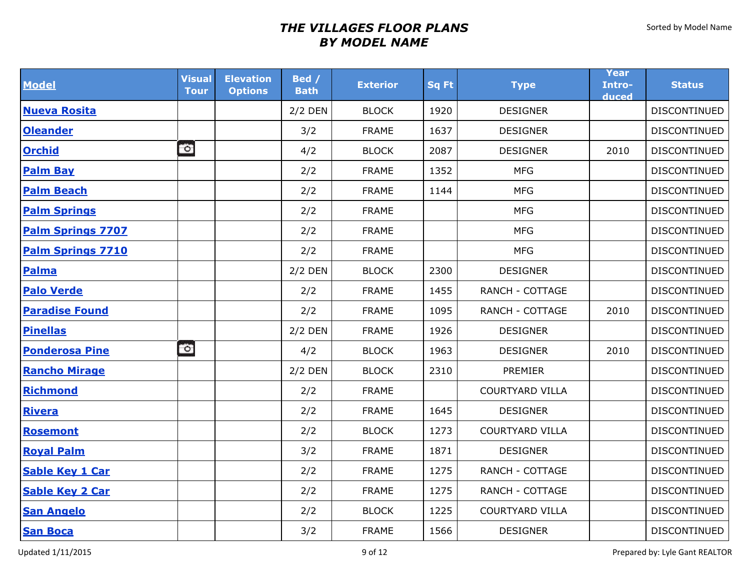| <b>Model</b>             | <b>Visual</b><br><b>Tour</b> | <b>Elevation</b><br><b>Options</b> | Bed /<br><b>Bath</b> | <b>Exterior</b> | <b>Sq Ft</b> | <b>Type</b>            | Year<br>Intro-<br>duced | <b>Status</b>       |
|--------------------------|------------------------------|------------------------------------|----------------------|-----------------|--------------|------------------------|-------------------------|---------------------|
| <b>Nueva Rosita</b>      |                              |                                    | $2/2$ DEN            | <b>BLOCK</b>    | 1920         | <b>DESIGNER</b>        |                         | <b>DISCONTINUED</b> |
| <b>Oleander</b>          |                              |                                    | 3/2                  | <b>FRAME</b>    | 1637         | <b>DESIGNER</b>        |                         | DISCONTINUED        |
| <b>Orchid</b>            | $\circ$                      |                                    | 4/2                  | <b>BLOCK</b>    | 2087         | <b>DESIGNER</b>        | 2010                    | DISCONTINUED        |
| <b>Palm Bay</b>          |                              |                                    | 2/2                  | <b>FRAME</b>    | 1352         | <b>MFG</b>             |                         | DISCONTINUED        |
| <b>Palm Beach</b>        |                              |                                    | 2/2                  | <b>FRAME</b>    | 1144         | <b>MFG</b>             |                         | DISCONTINUED        |
| <b>Palm Springs</b>      |                              |                                    | 2/2                  | <b>FRAME</b>    |              | <b>MFG</b>             |                         | DISCONTINUED        |
| <b>Palm Springs 7707</b> |                              |                                    | 2/2                  | <b>FRAME</b>    |              | <b>MFG</b>             |                         | DISCONTINUED        |
| <b>Palm Springs 7710</b> |                              |                                    | 2/2                  | <b>FRAME</b>    |              | <b>MFG</b>             |                         | <b>DISCONTINUED</b> |
| Palma                    |                              |                                    | $2/2$ DEN            | <b>BLOCK</b>    | 2300         | <b>DESIGNER</b>        |                         | DISCONTINUED        |
| <b>Palo Verde</b>        |                              |                                    | 2/2                  | <b>FRAME</b>    | 1455         | RANCH - COTTAGE        |                         | DISCONTINUED        |
| <b>Paradise Found</b>    |                              |                                    | 2/2                  | <b>FRAME</b>    | 1095         | <b>RANCH - COTTAGE</b> | 2010                    | DISCONTINUED        |
| <b>Pinellas</b>          |                              |                                    | $2/2$ DEN            | <b>FRAME</b>    | 1926         | <b>DESIGNER</b>        |                         | DISCONTINUED        |
| <b>Ponderosa Pine</b>    | $\bullet$                    |                                    | 4/2                  | <b>BLOCK</b>    | 1963         | <b>DESIGNER</b>        | 2010                    | DISCONTINUED        |
| <b>Rancho Mirage</b>     |                              |                                    | 2/2 DEN              | <b>BLOCK</b>    | 2310         | PREMIER                |                         | DISCONTINUED        |
| <b>Richmond</b>          |                              |                                    | 2/2                  | <b>FRAME</b>    |              | <b>COURTYARD VILLA</b> |                         | DISCONTINUED        |
| <b>Rivera</b>            |                              |                                    | 2/2                  | <b>FRAME</b>    | 1645         | <b>DESIGNER</b>        |                         | DISCONTINUED        |
| <b>Rosemont</b>          |                              |                                    | 2/2                  | <b>BLOCK</b>    | 1273         | <b>COURTYARD VILLA</b> |                         | DISCONTINUED        |
| <b>Royal Palm</b>        |                              |                                    | 3/2                  | <b>FRAME</b>    | 1871         | <b>DESIGNER</b>        |                         | <b>DISCONTINUED</b> |
| <b>Sable Key 1 Car</b>   |                              |                                    | 2/2                  | <b>FRAME</b>    | 1275         | <b>RANCH - COTTAGE</b> |                         | DISCONTINUED        |
| <b>Sable Key 2 Car</b>   |                              |                                    | 2/2                  | <b>FRAME</b>    | 1275         | <b>RANCH - COTTAGE</b> |                         | <b>DISCONTINUED</b> |
| <b>San Angelo</b>        |                              |                                    | 2/2                  | <b>BLOCK</b>    | 1225         | <b>COURTYARD VILLA</b> |                         | DISCONTINUED        |
| <b>San Boca</b>          |                              |                                    | 3/2                  | <b>FRAME</b>    | 1566         | <b>DESIGNER</b>        |                         | DISCONTINUED        |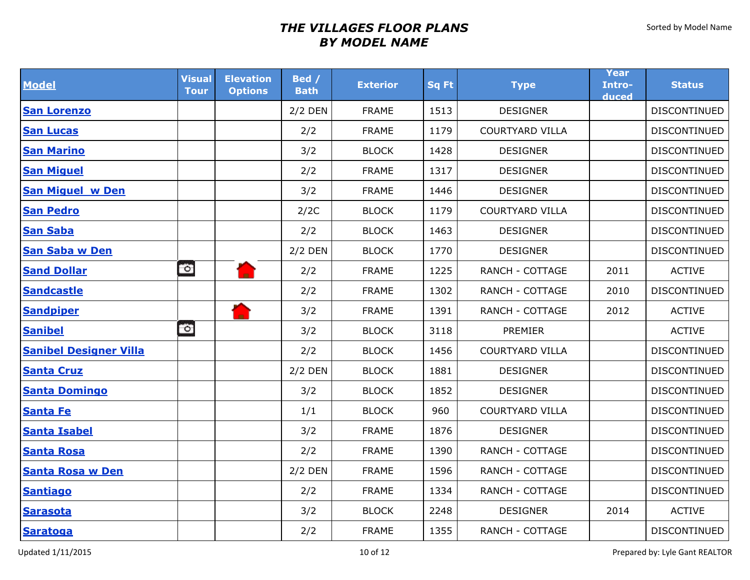| <b>Model</b>                  | <b>Visual</b><br><b>Tour</b> | <b>Elevation</b><br><b>Options</b> | Bed /<br><b>Bath</b> | <b>Exterior</b> | <b>Sq Ft</b> | <b>Type</b>            | Year<br>Intro-<br>duced | <b>Status</b>       |
|-------------------------------|------------------------------|------------------------------------|----------------------|-----------------|--------------|------------------------|-------------------------|---------------------|
| <b>San Lorenzo</b>            |                              |                                    | $2/2$ DEN            | <b>FRAME</b>    | 1513         | <b>DESIGNER</b>        |                         | DISCONTINUED        |
| <b>San Lucas</b>              |                              |                                    | 2/2                  | <b>FRAME</b>    | 1179         | <b>COURTYARD VILLA</b> |                         | DISCONTINUED        |
| <b>San Marino</b>             |                              |                                    | 3/2                  | <b>BLOCK</b>    | 1428         | <b>DESIGNER</b>        |                         | <b>DISCONTINUED</b> |
| <b>San Miguel</b>             |                              |                                    | 2/2                  | <b>FRAME</b>    | 1317         | <b>DESIGNER</b>        |                         | <b>DISCONTINUED</b> |
| <b>San Miguel w Den</b>       |                              |                                    | 3/2                  | <b>FRAME</b>    | 1446         | <b>DESIGNER</b>        |                         | DISCONTINUED        |
| <b>San Pedro</b>              |                              |                                    | 2/2C                 | <b>BLOCK</b>    | 1179         | <b>COURTYARD VILLA</b> |                         | <b>DISCONTINUED</b> |
| <b>San Saba</b>               |                              |                                    | 2/2                  | <b>BLOCK</b>    | 1463         | <b>DESIGNER</b>        |                         | <b>DISCONTINUED</b> |
| <b>San Saba w Den</b>         |                              |                                    | $2/2$ DEN            | <b>BLOCK</b>    | 1770         | <b>DESIGNER</b>        |                         | <b>DISCONTINUED</b> |
| <b>Sand Dollar</b>            | $\circ$                      |                                    | 2/2                  | <b>FRAME</b>    | 1225         | <b>RANCH - COTTAGE</b> | 2011                    | <b>ACTIVE</b>       |
| <b>Sandcastle</b>             |                              |                                    | 2/2                  | <b>FRAME</b>    | 1302         | <b>RANCH - COTTAGE</b> | 2010                    | <b>DISCONTINUED</b> |
| <b>Sandpiper</b>              |                              |                                    | 3/2                  | <b>FRAME</b>    | 1391         | <b>RANCH - COTTAGE</b> | 2012                    | <b>ACTIVE</b>       |
| <b>Sanibel</b>                | $\circ$                      |                                    | 3/2                  | <b>BLOCK</b>    | 3118         | <b>PREMIER</b>         |                         | <b>ACTIVE</b>       |
| <b>Sanibel Designer Villa</b> |                              |                                    | 2/2                  | <b>BLOCK</b>    | 1456         | <b>COURTYARD VILLA</b> |                         | DISCONTINUED        |
| <b>Santa Cruz</b>             |                              |                                    | $2/2$ DEN            | <b>BLOCK</b>    | 1881         | <b>DESIGNER</b>        |                         | <b>DISCONTINUED</b> |
| <b>Santa Domingo</b>          |                              |                                    | 3/2                  | <b>BLOCK</b>    | 1852         | <b>DESIGNER</b>        |                         | DISCONTINUED        |
| <b>Santa Fe</b>               |                              |                                    | 1/1                  | <b>BLOCK</b>    | 960          | <b>COURTYARD VILLA</b> |                         | <b>DISCONTINUED</b> |
| <b>Santa Isabel</b>           |                              |                                    | 3/2                  | <b>FRAME</b>    | 1876         | <b>DESIGNER</b>        |                         | <b>DISCONTINUED</b> |
| <b>Santa Rosa</b>             |                              |                                    | 2/2                  | <b>FRAME</b>    | 1390         | <b>RANCH - COTTAGE</b> |                         | <b>DISCONTINUED</b> |
| <b>Santa Rosa w Den</b>       |                              |                                    | 2/2 DEN              | <b>FRAME</b>    | 1596         | <b>RANCH - COTTAGE</b> |                         | <b>DISCONTINUED</b> |
| <b>Santiago</b>               |                              |                                    | 2/2                  | <b>FRAME</b>    | 1334         | RANCH - COTTAGE        |                         | DISCONTINUED        |
| <b>Sarasota</b>               |                              |                                    | 3/2                  | <b>BLOCK</b>    | 2248         | <b>DESIGNER</b>        | 2014                    | <b>ACTIVE</b>       |
| <b>Saratoga</b>               |                              |                                    | 2/2                  | <b>FRAME</b>    | 1355         | <b>RANCH - COTTAGE</b> |                         | DISCONTINUED        |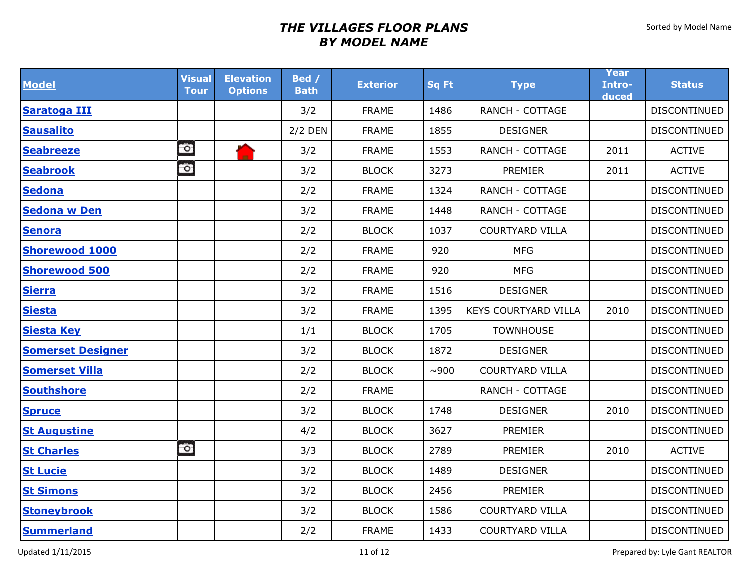| <b>Model</b>             | <b>Visual</b><br><b>Tour</b> | <b>Elevation</b><br><b>Options</b> | Bed /<br><b>Bath</b> | <b>Exterior</b> | <b>Sq Ft</b> | <b>Type</b>                 | Year<br>Intro-<br>duced | <b>Status</b>       |
|--------------------------|------------------------------|------------------------------------|----------------------|-----------------|--------------|-----------------------------|-------------------------|---------------------|
| Saratoga III             |                              |                                    | 3/2                  | <b>FRAME</b>    | 1486         | <b>RANCH - COTTAGE</b>      |                         | DISCONTINUED        |
| <b>Sausalito</b>         |                              |                                    | $2/2$ DEN            | <b>FRAME</b>    | 1855         | <b>DESIGNER</b>             |                         | <b>DISCONTINUED</b> |
| <b>Seabreeze</b>         | $\circ$                      |                                    | 3/2                  | <b>FRAME</b>    | 1553         | <b>RANCH - COTTAGE</b>      | 2011                    | <b>ACTIVE</b>       |
| <b>Seabrook</b>          | $\circ$                      |                                    | 3/2                  | <b>BLOCK</b>    | 3273         | PREMIER                     | 2011                    | <b>ACTIVE</b>       |
| <b>Sedona</b>            |                              |                                    | 2/2                  | <b>FRAME</b>    | 1324         | <b>RANCH - COTTAGE</b>      |                         | DISCONTINUED        |
| <b>Sedona w Den</b>      |                              |                                    | 3/2                  | <b>FRAME</b>    | 1448         | <b>RANCH - COTTAGE</b>      |                         | DISCONTINUED        |
| <b>Senora</b>            |                              |                                    | 2/2                  | <b>BLOCK</b>    | 1037         | <b>COURTYARD VILLA</b>      |                         | <b>DISCONTINUED</b> |
| <b>Shorewood 1000</b>    |                              |                                    | 2/2                  | <b>FRAME</b>    | 920          | <b>MFG</b>                  |                         | <b>DISCONTINUED</b> |
| <b>Shorewood 500</b>     |                              |                                    | 2/2                  | <b>FRAME</b>    | 920          | <b>MFG</b>                  |                         | <b>DISCONTINUED</b> |
| <b>Sierra</b>            |                              |                                    | 3/2                  | <b>FRAME</b>    | 1516         | <b>DESIGNER</b>             |                         | DISCONTINUED        |
| <b>Siesta</b>            |                              |                                    | 3/2                  | <b>FRAME</b>    | 1395         | <b>KEYS COURTYARD VILLA</b> | 2010                    | <b>DISCONTINUED</b> |
| <b>Siesta Key</b>        |                              |                                    | 1/1                  | <b>BLOCK</b>    | 1705         | <b>TOWNHOUSE</b>            |                         | <b>DISCONTINUED</b> |
| <b>Somerset Designer</b> |                              |                                    | 3/2                  | <b>BLOCK</b>    | 1872         | <b>DESIGNER</b>             |                         | <b>DISCONTINUED</b> |
| <b>Somerset Villa</b>    |                              |                                    | 2/2                  | <b>BLOCK</b>    | ~0.900       | <b>COURTYARD VILLA</b>      |                         | <b>DISCONTINUED</b> |
| <b>Southshore</b>        |                              |                                    | 2/2                  | <b>FRAME</b>    |              | <b>RANCH - COTTAGE</b>      |                         | DISCONTINUED        |
| <b>Spruce</b>            |                              |                                    | 3/2                  | <b>BLOCK</b>    | 1748         | <b>DESIGNER</b>             | 2010                    | <b>DISCONTINUED</b> |
| <b>St Augustine</b>      |                              |                                    | 4/2                  | <b>BLOCK</b>    | 3627         | PREMIER                     |                         | <b>DISCONTINUED</b> |
| <b>St Charles</b>        | $\circ$                      |                                    | 3/3                  | <b>BLOCK</b>    | 2789         | PREMIER                     | 2010                    | <b>ACTIVE</b>       |
| <b>St Lucie</b>          |                              |                                    | 3/2                  | <b>BLOCK</b>    | 1489         | <b>DESIGNER</b>             |                         | DISCONTINUED        |
| <b>St Simons</b>         |                              |                                    | 3/2                  | <b>BLOCK</b>    | 2456         | PREMIER                     |                         | DISCONTINUED        |
| <b>Stoneybrook</b>       |                              |                                    | 3/2                  | <b>BLOCK</b>    | 1586         | <b>COURTYARD VILLA</b>      |                         | DISCONTINUED        |
| <b>Summerland</b>        |                              |                                    | 2/2                  | <b>FRAME</b>    | 1433         | <b>COURTYARD VILLA</b>      |                         | DISCONTINUED        |